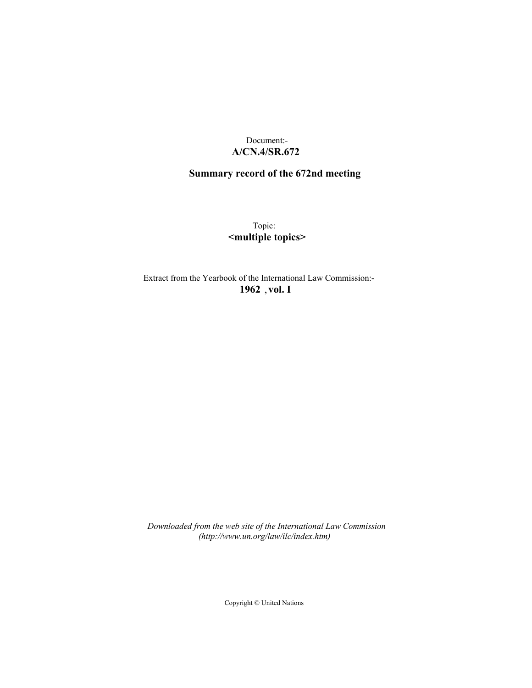# Document:- **A/CN.4/SR.672**

# **Summary record of the 672nd meeting**

Topic: **<multiple topics>**

Extract from the Yearbook of the International Law Commission:- **1962** ,**vol. I**

*Downloaded from the web site of the International Law Commission (http://www.un.org/law/ilc/index.htm)*

Copyright © United Nations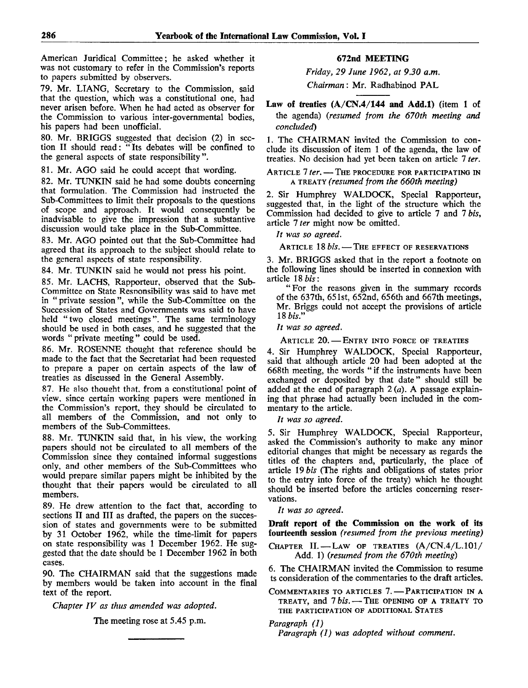American Juridical Committee; he asked whether it was not customary to refer in the Commission's reports to papers submitted by observers.

79. Mr. LTANG, Secretary to the Commission, said that the question, which was a constitutional one, had never arisen before. When he had acted as observer for the Commission to various inter-governmental bodies, his papers had been unofficial.

80. Mr. BRIGGS suggested that decision (2) in section II should read: "Its debates will be confined to the general aspects of state responsibility".

81. Mr. AGO said he could accept that wording.

82. Mr. TUNKIN said he had some doubts concerning that formulation. The Commission had instructed the Sub-Committees to limit their proposals to the questions of scope and approach. It would consequently be inadvisable to give the impression that a substantive discussion would take place in the Sub-Committee.

83. Mr. AGO pointed out that the Sub-Committee had agreed that its approach to the subject should relate to the general aspects of state responsibility.

84. Mr. TUNKIN said he would not press his point.

85. Mr. LACHS, Rapporteur, observed that the Sub-Committee on State Resnonsibility was said to have met in "private session", while the Sub-Committee on the Succession of States and Governments was said to have held "two closed meetings". The same terminology should be used in both cases, and he suggested that the words " private meeting " could be used.

86. Mr. ROSENNE thought that reference should be made to the fact that the Secretariat had been requested to prepare a paper on certain aspects of the law of treaties as discussed in the General Assembly.

87. He also thoueht that, from a constitutional point of view, since certain working papers were mentioned in the Commission's report, they should be circulated to all members of the Commission, and not only to members of the Sub-Committees.

88. Mr. TUNKIN said that, in his view, the working papers should not be circulated to all members of the Commission since they contained informal suggestions only, and other members of the Sub-Committees who would prepare similar papers might be inhibited by the thought that their papers would be circulated to all members.

89. He drew attention to the fact that, according to sections II and III as drafted, the papers on the succession of states and governments were to be submitted by 31 October 1962, while the time-limit for papers on state responsibility was 1 December 1962. He suggested that the date should be 1 December 1962 in both cases.

90. The CHAIRMAN said that the suggestions made by members would be taken into account in the final text of the report.

*Chapter IV as thus amended was adopted.*

The meeting rose at 5.45 p.m.

# **672nd MEETING**

*Friday, 29 June 1962, at 9.30 a.m.*

*Chairman:* Mr. Radhabinod PAL

**Law of treaties (A/CN.4/144 and Add.l)** (item 1 of the agenda) *{resumed from the 670th meeting and concluded)*

1. The CHAIRMAN invited the Commission to conclude its discussion of item 1 of the agenda, the law of treaties. No decision had yet been taken on article 7 *ter.*

ARTICLE 7 *ter.* — THE PROCEDURE FOR PARTICIPATING IN A TREATY *(resumed from the 660th meeting)*

2. Sir Humphrey WALDOCK, Special Rapporteur, suggested that, in the light of the structure which the Commission had decided to give to article 7 and 7 *bis,* article 7 *ter* might now be omitted.

*It was so agreed.*

ARTICLE 18 *bis.* — THE EFFECT OF RESERVATIONS

3. Mr. BRIGGS asked that in the report a footnote on the following lines should be inserted in connexion with article 18 *bis:*

"For the reasons given in the summary records of the 637th, 651st, 652nd, 656th and 667th meetings, Mr. Briggs could not accept the provisions of article *IS bis."*

*It was so agreed.*

ARTICLE 20. - ENTRY INTO FORCE OF TREATIES

4. Sir Humphrey WALDOCK, Special Rapporteur, said that although article 20 had been adopted at the 668th meeting, the words " if the instruments have been exchanged or deposited by that date" should still be added at the end of paragraph  $2(a)$ . A passage explaining that phrase had actually been included in the commentary to the article.

*It was so agreed.*

5. Sir Humphrey WALDOCK, Special Rapporteur, asked the Commission's authority to make any minor editorial changes that might be necessary as regards the titles of the chapters and, particularly, the place of article 19 *bis* (The rights and obligations of states prior to the entry into force of the treaty) which he thought should be inserted before the articles concerning reservations.

*It was so agreed.*

**Draft report of the Commission on the work of its fourteenth** session *(resumed from the previous meeting)*

CHAPTER II. — LAW OF TREATIES (A/CN.4/L.101/ Add. 1) *(resumed from the 670th meeting)*

6. The CHAIRMAN invited the Commission to resume ts consideration of the commentaries to the draft articles.

COMMENTARIES TO ARTICLES 7. — PARTICIPATION IN A TREATY, and *Ibis.* — THE OPENING OF A TREATY TO THE PARTICIPATION OF ADDITIONAL STATES

*Paragraph (1)*

*Paragraph (1) was adopted without comment.*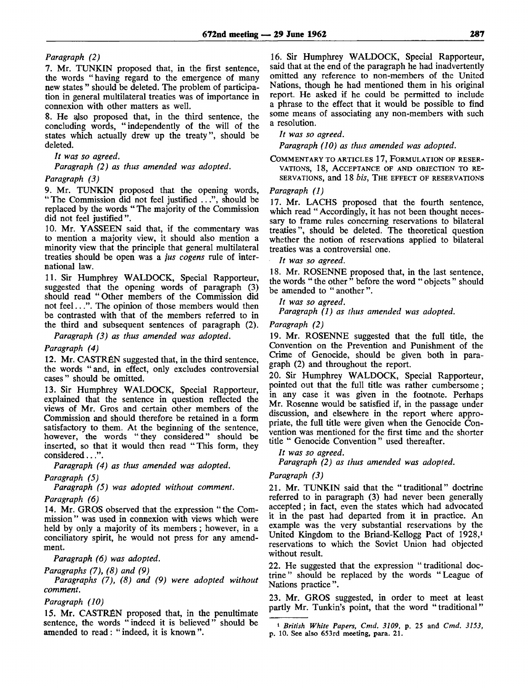#### *Paragraph (2)*

7. Mr. TUNKIN proposed that, in the first sentence, the words "having regard to the emergence of many new states " should be deleted. The problem of participation in general multilateral treaties was of importance in connexion with other matters as well.

8. He ajso proposed that, in the third sentence, the concluding words, "independently of the will of the states which actually drew up the treaty", should be deleted.

## *It was so agreed.*

*Paragraph (2) as thus amended was adopted.*

#### *Paragraph (3)*

9. Mr. TUNKIN proposed that the opening words, " The Commission did not feel justified ...", should be replaced by the words " The majority of the Commission did not feel justified".

10. Mr. YASSEEN said that, if the commentary was to mention a majority view, it should also mention a minority view that the principle that general multilateral treaties should be open was a *jus cogens* rule of international law.

11. Sir Humphrey WALDOCK, Special Rapporteur, suggested that the opening words of paragraph (3) should read "Other members of the Commission did not feel...". The opinion of those members would then be contrasted with that of the members referred to in the third and subsequent sentences of paragraph (2).

*Paragraph (3) as thus amended was adopted.*

*Paragraph (4)*

12. Mr. CASTRÉN suggested that, in the third sentence, the words "and, in effect, only excludes controversial cases" should be omitted.

13. Sir Humphrey WALDOCK, Special Rapporteur, explained that the sentence in question reflected the views of Mr. Gros and certain other members of the Commission and should therefore be retained in a form satisfactory to them. At the beginning of the sentence, however, the words "they considered" should be inserted, so that it would then read "This form, they considered...".

*Paragraph (4) as thus amended was adopted.*

*Paragraph (5)*

*Paragraph (5) was adopted without comment.*

#### *Paragraph (6)*

14. Mr. GROS observed that the expression "the Commission" was used in connexion with views which were held by only a majority of its members; however, in a conciliatory spirit, he would not press for any amendment.

*Paragraph (6) was adopted.*

#### *Paragraphs (7), (8) and (9)*

*Paragraphs (7), (8) and (9) were adopted without comment.*

#### *Paragraph (10)*

15. Mr. CASTRÉN proposed that, in the penultimate sentence, the words "indeed it is believed" should be amended to read: " indeed, it is known ".

16. Sir Humphrey WALDOCK, Special Rapporteur, said that at the end of the paragraph he had inadvertently omitted any reference to non-members of the United Nations, though he had mentioned them in his original report. He asked if he could be permitted to include a phrase to the effect that it would be possible to find some means of associating any non-members with such a resolution.

#### *It was so agreed.*

*Paragraph (10) as thus amended was adopted.*

COMMENTARY TO ARTICLES 17, FORMULATION OF RESER-VATIONS, 18, ACCEPTANCE OF AND OBJECTION TO RE-SERVATIONS, and 18 *bis,* THE EFFECT OF RESERVATIONS

#### *Paragraph (1)*

17. Mr. LACHS proposed that the fourth sentence, which read " Accordingly, it has not been thought necessary to frame rules concerning reservations to bilateral treaties", should be deleted. The theoretical question whether the notion of reservations applied to bilateral treaties was a controversial one.

# *It was so agreed.*

18. Mr. ROSENNE proposed that, in the last sentence, the words " the other " before the word " objects " should be amended to "another".

*It was so agreed.*

*Paragraph (1) as thus amended was adopted.*

#### *Paragraph (2)*

19. Mr. ROSENNE suggested that the full title, the Convention on the Prevention and Punishment of the Crime of Genocide, should be given both in paragraph (2) and throughout the report.

20. Sir Humphrey WALDOCK, Special Rapporteur, pointed out that the full title was rather cumbersome; in any case it was given in the footnote. Perhaps Mr. Rosenne would be satisfied if, in the passage under discussion, and elsewhere in the report where appropriate, the full title were given when the Genocide Convention was mentioned for the first time and the shorter title " Genocide Convention" used thereafter.

#### *It was so agreed.*

*Paragraph (2) as thus amended was adopted.*

# *Paragraph (3)*

21. Mr. TUNKIN said that the "traditional" doctrine referred to in paragraph (3) had never been generally accepted; in fact, even the states which had advocated it in the past had departed from it in practice. An example was the very substantial reservations by the United Kingdom to the Briand-Kellogg Pact of 1928,<sup>1</sup> reservations to which the Soviet Union had objected without result.

22. He suggested that the expression "traditional doctrine" should be replaced by the words "League of Nations practice".

23. Mr. GROS suggested, in order to meet at least partly Mr. Tunkin's point, that the word "traditional"

i *British White Papers, Cmd. 3109,* p. 25 and *Cmd. 3153,* p. 10. See also 653rd meeting, para. 21.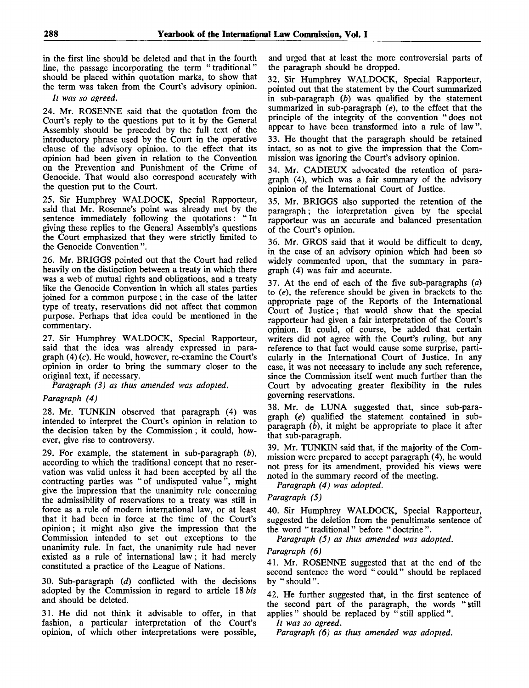in the first line should be deleted and that in the fourth line, the passage incorporating the term "traditional" should be placed within quotation marks, to show that the term was taken from the Court's advisory opinion.

*It was so agreed.*

24. Mr. ROSENNE said that the quotation from the Court's reply to the questions put to it by the General Assembly should be preceded by the full text of the introductory phrase used by the Court in the operative clause of the advisory opinion, to the effect that its opinion had been given in relation to the Convention on the Prevention and Punishment of the Crime of Genocide. That would also correspond accurately with the question put to the Court.

25. Sir Humphrey WALDOCK, Special Rapporteur, said that Mr. Rosenne's point was already met by the sentence immediately following the quotations: " In giving these replies to the General Assembly's questions the Court emphasized that they were strictly limited to the Genocide Convention ".

26. Mr. BRIGGS pointed out that the Court had relied heavily on the distinction between a treaty in which there was a web of mutual rights and obligations, and a treaty like the Genocide Convention in which all states parties joined for a common purpose; in the case of the latter type of treaty, reservations did not affect that common purpose. Perhaps that idea could be mentioned in the commentary.

27. Sir Humphrey WALDOCK, Special Rapporteur, said that the idea was already expressed in paragraph  $(4)(c)$ . He would, however, re-examine the Court's opinion in order to bring the summary closer to the original text, if necessary.

*Paragraph (3) as thus amended was adopted.*

# *Paragraph (4)*

28. Mr. TUNKIN observed that paragraph (4) was intended to interpret the Court's opinion in relation to the decision taken by the Commission; it could, however, give rise to controversy.

29. For example, the statement in sub-paragraph *(b),* according to which the traditional concept that no reservation was valid unless it had been accepted by all the contracting parties was "of undisputed value", might give the impression that the unanimity rule concerning the admissibility of reservations to a treaty was still in force as a rule of modern international law, or at least that it had been in force at the time of the Court's opinion; it might also give the impression that the Commission intended to set out exceptions to the unanimity rule. In fact, the unanimity rule had never existed as a rule of international law; it had merely constituted a practice of the League of Nations.

30. Sub-paragraph *(d)* conflicted with the decisions adopted by the Commission in regard to article 18 *bis* and should be deleted.

31. He did not think it advisable to offer, in that fashion, a particular interpretation of the Court's opinion, of which other interpretations were possible,

and urged that at least the more controversial parts of the paragraph should be dropped.

32. Sir Humphrey WALDOCK, Special Rapporteur, pointed out that the statement by the Court summarized in sub-paragraph *(b)* was qualified by the statement summarized in sub-paragraph (e), to the effect that the principle of the integrity of the convention "does not appear to have been transformed into a rule of law".

33. He thought that the paragraph should be retained intact, so as not to give the impression that the Commission was ignoring the Court's advisory opinion.

34. Mr. CADIEUX advocated the retention of paragraph (4), which was a fair summary of the advisory opinion of the International Court of Justice.

35. Mr. BRIGGS also supported the retention of the paragraph; the interpretation given by the special rapporteur was an accurate and balanced presentation of the Court's opinion.

36. Mr. GROS said that it would be difficult to deny, in the case of an advisory opinion which had been so widely commented upon, that the summary in paragraph (4) was fair and accurate.

37. At the end of each of the five sub-paragraphs *(a)* to *(e),* the reference should be given in brackets to the appropriate page of the Reports of the International Court of Justice; that would show that the special rapporteur had given a fair interpretation of the Court's opinion. It could, of course, be added that certain writers did not agree with the Court's ruling, but any reference to that fact would cause some surprise, particularly in the International Court of Justice. In any case, it was not necessary to include any such reference, since the Commission itself went much further than the Court by advocating greater flexibility in the rules governing reservations.

38. Mr. de LUNA suggested that, since sub-paragraph *(e)* qualified the statement contained in subparagraph  $(\dot{b})$ , it might be appropriate to place it after that sub-paragraph.

39. Mr. TUNKIN said that, if the majority of the Commission were prepared to accept paragraph (4), he would not press for its amendment, provided his views were noted in the summary record of the meeting.

*Paragraph (4) was adopted.*

*Paragraph (5)*

40. Sir Humphrey WALDOCK, Special Rapporteur, suggested the deletion from the penultimate sentence of the word "traditional" before "doctrine".

*Paragraph (5) as thus amended was adopted.*

*Paragraph (6)*

41. Mr. ROSENNE suggested that at the end of the second sentence the word "could" should be replaced by " should ".

42. He further suggested that, in the first sentence of the second part of the paragraph, the words "still applies" should be replaced by "still applied".

// *was so agreed.*

*Paragraph (6) as thus amended was adopted.*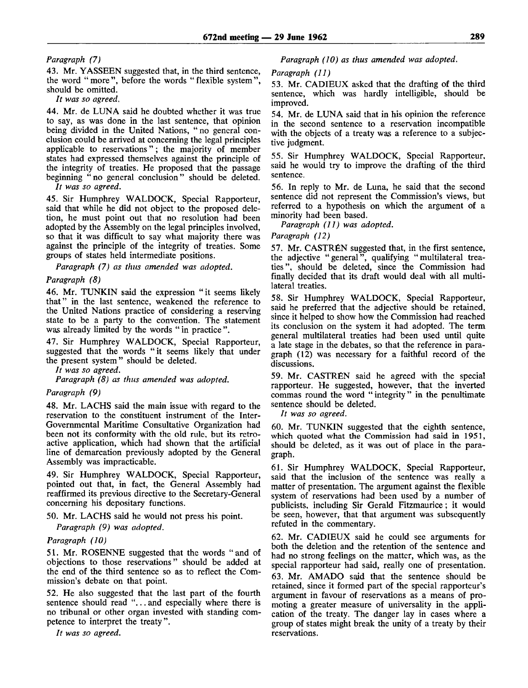# *Paragraph (7)*

43. Mr. YASSEEN suggested that, in the third sentence, the word " more ", before the words " flexible system ", should be omitted.

*It was so agreed.*

44. Mr. de LUNA said he doubted whether it was true to say, as was done in the last sentence, that opinion being divided in the United Nations, "no general conclusion could be arrived at concerning the legal principles applicable to reservations" ; the majority of member states had expressed themselves against the principle of the integrity of treaties. He proposed that the passage beginning "no general conclusion" should be deleted.

*It was so agreed.*

45. Sir Humphrey WALDOCK, Special Rapporteur, said that while he did not object to the proposed deletion, he must point out that no resolution had been adopted by the Assembly on the legal principles involved, so that it was difficult to say what majority there was against the principle of the integrity of treaties. Some groups of states held intermediate positions.

*Paragraph (7) as thus amended was adopted.*

# *Paragraph (8)*

46. Mr. TUNKIN said the expression "it seems likely that" in the last sentence, weakened the reference to the United Nations practice of considering a reserving state to be a party to the convention. The statement was already limited by the words "in practice".

47. Sir Humphrey WALDOCK, Special Rapporteur, suggested that the words "it seems likely that under the present system" should be deleted.

*It was so agreed.*

*Paragraph (8) as thus amended was adopted.*

# *Paragraph (9)*

48. Mr. LACHS said the main issue with regard to the reservation to the constituent instrument of the Inter-Governmental Maritime Consultative Organization had been not its conformity with the old rule, but its retroactive application, which had shown that the artificial line of demarcation previously adopted by the General Assembly was impracticable.

49. Sir Humphrey WALDOCK, Special Rapporteur, pointed out that, in fact, the General Assembly had reaffirmed its previous directive to the Secretary-General concerning his depositary functions.

50. Mr. LACHS said he would not press his point.

*Paragraph (9) was adopted.*

# *Paragraph (10)*

51. Mr. ROSENNE suggested that the words "and of objections to those reservations" should be added at the end of the third sentence so as to reflect the Commission's debate on that point.

52. He also suggested that the last part of the fourth sentence should read "... and especially where there is no tribunal or other organ invested with standing competence to interpret the treaty ".

*It was so agreed.*

*Paragraph (10) as thus amended was adopted.*

#### *Paragraph (11)*

53. Mr. CADIEUX asked that the drafting of the third sentence, which was hardly intelligible, should be improved.

54. Mr. de LUNA said that in his opinion the reference in the second sentence to a reservation incompatible with the objects of a treaty was a reference to a subjective judgment.

55. Sir Humphrey WALDOCK, Special Rapporteur, said he would try to improve the drafting of the third sentence.

56. In reply to Mr. de Luna, he said that the second sentence did not represent the Commission's views, but referred to a hypothesis on which the argument of a minority had been based.

*Paragraph (11) was adopted.*

*Paragraph (12)*

57. Mr. CASTRÉN suggested that, in the first sentence, the adjective "general", qualifying "multilateral treaties ", should be deleted, since the Commission had finally decided that its draft would deal with all multilateral treaties.

58. Sir Humphrey WALDOCK, Special Rapporteur, said he preferred that the adjective should be retained, since it helped to show how the Commission had reached its conclusion on the system it had adopted. The term general multilateral treaties had been used until quite a late stage in the debates, so that the reference in paragraph (12) was necessary for a faithful record of the discussions.

59. Mr. CASTRÉN said he agreed with the special rapporteur. He suggested, however, that the inverted commas round the word "integrity" in the penultimate sentence should be deleted.

*It was so agreed.*

60. Mr. TUNKIN suggested that the eighth sentence, which quoted what the Commission had said in 1951, should be deleted, as it was out of place in the paragraph.

61. Sir Humphrey WALDOCK, Special Rapporteur, said that the inclusion of the sentence was really a matter of presentation. The argument against the flexible system of reservations had been used by a number of publicists, including Sir Gerald Fitzmaurice; it would be seen, however, that that argument was subsequently refuted in the commentary.

62. Mr. CADIEUX said he could see arguments for both the deletion and the retention of the sentence and had no strong feelings on the matter, which was, as the special rapporteur had said, really one of presentation. 63. Mr. AMADO said that the sentence should be retained, since it formed part of the special rapporteur's argument in favour of reservations as a means of promoting a greater measure of universality in the application of the treaty. The danger lay in cases where a group of states might break the unity of a treaty by their reservations.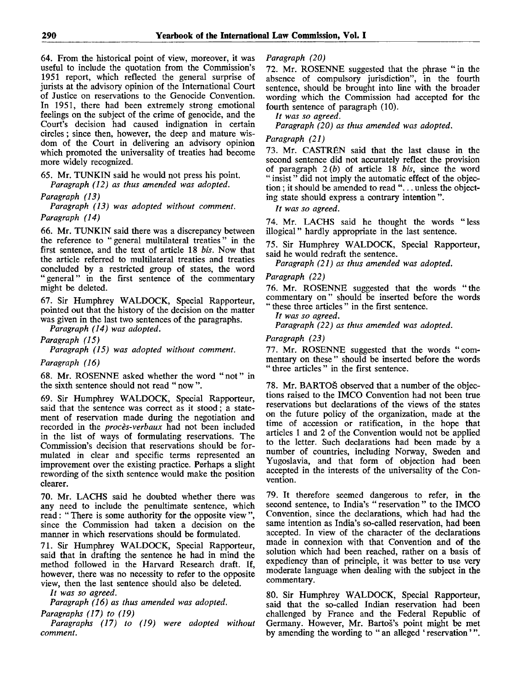64. From the historical point of view, moreover, it was useful to include the quotation from the Commission's 1951 report, which reflected the general surprise of jurists at the advisory opinion of the International Court of Justice on reservations to the Genocide Convention. In 1951, there had been extremely strong emotional feelings on the subject of the crime of genocide, and the Court's decision had caused indignation in certain circles; since then, however, the deep and mature wisdom of the Court in delivering an advisory opinion which promoted the universality of treaties had become more widely recognized.

65. Mr. TUNKIN said he would not press his point. *Paragraph (12) as thus amended was adopted.*

# *Paragraph (13)*

*Paragraph (13) was adopted without comment. Paragraph (14)*

66. Mr. TUNKIN said there was a discrepancy between the reference to "general multilateral treaties" in the first sentence, and the text of article 18 *bis.* Now that the article referred to multilateral treaties and treaties concluded by a restricted group of states, the word "general" in the first sentence of the commentary might be deleted.

67. Sir Humphrey WALDOCK, Special Rapporteur, pointed out that the history of the decision on the matter was given in the last two sentences of the paragraphs.

*Paragraph (14) was adopted.*

*Paragraph (15)*

*Paragraph (15) was adopted without comment.*

*Paragraph (16)*

68. Mr. ROSENNE asked whether the word "not" in the sixth sentence should not read " now ".

69. Sir Humphrey WALDOCK, Special Rapporteur, said that the sentence was correct as it stood; a statement of reservation made during the negotiation and recorded in the *proces-verbaux* had not been included in the list of ways of formulating reservations. The Commission's decision that reservations should be formulated in clear and specific terms represented an improvement over the existing practice. Perhaps a slight rewording of the sixth sentence would make the position clearer.

70. Mr. LACHS said he doubted whether there was any need to include the penultimate sentence, which read: " There is some authority for the opposite view ", since the Commission had taken a decision on the manner in which reservations should be formulated.

71. Sir Humphrey WALDOCK, Special Rapporteur, said that in drafting the sentence he had in mind the method followed in the Harvard Research draft. If, however, there was no necessity to refer to the opposite view, then the last sentence should also be deleted.

*It was so agreed.*

*Paragraph (16) as thus amended was adopted. Paragraphs (17) to (19)*

*Paragraphs (17) to (19) were adopted without comment.*

*Paragraph (20)*

72. Mr. ROSENNE suggested that the phrase " in the absence of compulsory jurisdiction", in the fourth sentence, should be brought into line with the broader wording which the Commission had accepted for the fourth sentence of paragraph (10).

*It was so agreed.*

*Paragraph (20) as thus amended was adopted.*

# *Paragraph (21)*

73. Mr. CASTREN said that the last clause in the second sentence did not accurately reflect the provision of paragraph 2 *(b)* of article 18 *bis,* since the word " insist" did not imply the automatic effect of the objection ; it should be amended to read "... unless the objecting state should express a contrary intention ".

*It was so agreed.*

74. Mr. LACHS said he thought the words "less illogical" hardly appropriate in the last sentence.

75. Sir Humphrey WALDOCK, Special Rapporteur, said he would redraft the sentence.

*Paragraph (21) as thus amended was adopted.*

# *Paragraph (22)*

76. Mr. ROSENNE suggested that the words "the commentary on" should be inserted before the words " these three articles " in the first sentence.

// *was so agreed.*

*Paragraph (22) as thus amended was adopted.*

*Paragraph (23)*

77. Mr. ROSENNE suggested that the words "commentary on these " should be inserted before the words " three articles " in the first sentence.

78. Mr. BARTOS observed that a number of the objections raised to the IMCO Convention had not been true reservations but declarations of the views of the states on the future policy of the organization, made at the time of accession or ratification, in the hope that articles 1 and 2 of the Convention would not be applied to the letter. Such declarations had been made by a number of countries, including Norway, Sweden and Yugoslavia, and that form of objection had been accepted in the interests of the universality of the Convention.

79. It therefore seemed dangerous to refer, in the second sentence, to India's " reservation " to the IMCO Convention, since the declarations, which had had the same intention as India's so-called reservation, had been accepted. In view of the character of the declarations made in connexion with that Convention and of the solution which had been reached, rather on a basis of expediency than of principle, it was better to use very moderate language when dealing with the subject in the commentary.

80. Sir Humphrey WALDOCK, Special Rapporteur, said that the so-called Indian reservation had been challenged by France and the Federal Republic of Germany. However, Mr. Bartos's point might be met by amending the wording to " an alleged \* reservation'".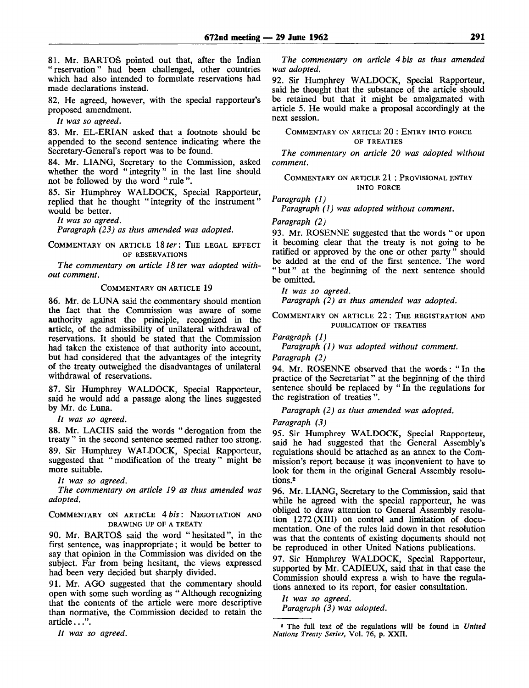81. Mr. BARTOS pointed out that, after the Indian "reservation" had been challenged, other countries which had also intended to formulate reservations had made declarations instead.

82. He agreed, however, with the special rapporteur's proposed amendment.

*It was so agreed.*

83. Mr. EL-ERIAN asked that a footnote should be appended to the second sentence indicating where the Secretary-General's report was to be found.

84. Mr. LIANG, Secretary to the Commission, asked whether the word "integrity" in the last line should not be followed by the word " rule ".

85. Sir Humphrey WALDOCK, Special Rapporteur, replied that he thought "integrity of the instrument" would be better.

*It was so agreed.*

*Paragraph (23) as thus amended was adopted.*

COMMENTARY ON ARTICLE *18 ter:* THE LEGAL EFFECT OF RESERVATIONS

*The commentary on article 18 ter was adopted without comment.*

#### COMMENTARY ON ARTICLE 19

86. Mr. de LUNA said the commentary should mention the fact that the Commission was aware of some authority against the principle, recognized in the article, of the admissibility of unilateral withdrawal of reservations. It should be stated that the Commission had taken the existence of that authority into account, but had considered that the advantages of the integrity of the treaty outweighed the disadvantages of unilateral withdrawal of reservations.

87. Sir Humphrey WALDOCK, Special Rapporteur, said he would add a passage along the lines suggested by Mr. de Luna.

*It was so agreed.*

88. Mr. LACHS said the words "derogation from the treaty " in the second sentence seemed rather too strong. 89. Sir Humphrey WALDOCK, Special Rapporteur, suggested that "modification of the treaty" might be more suitable.

*It was so agreed.*

*The commentary on article 19 as thus amended was adopted.*

COMMENTARY ON ARTICLE 4*bis:* NEGOTIATION AND DRAWING UP OF A TREATY

90. Mr. BARTOS said the word "hesitated", in the first sentence, was inappropriate; it would be better to say that opinion in the Commission was divided on the subject. Far from being hesitant, the views expressed had been very decided but sharply divided.

91. Mr. AGO suggested that the commentary should open with some such wording as " Although recognizing that the contents of the article were more descriptive than normative, the Commission decided to retain the article...".

*It was so agreed.*

*The commentary on article 4 bis as thus amended was adopted.*

92. Sir Humphrey WALDOCK, Special Rapporteur, said he thought that the substance of the article should be retained but that it might be amalgamated with article 5. He would make a proposal accordingly at the next session.

COMMENTARY ON ARTICLE 20 : ENTRY INTO FORCE OF TREATIES

*The commentary on article 20 was adopted without comment.*

COMMENTARY ON ARTICLE 21 : PROVISIONAL ENTRY INTO FORCE

*Paragraph (1)*

*Paragraph (1) was adopted without comment.*

*Paragraph (2)*

93. Mr. ROSENNE suggested that the words "or upon it becoming clear that the treaty is not going to be ratified or approved by the one or other party " should be added at the end of the first sentence. The word "but" at the beginning of the next sentence should be omitted.

*It was so agreed.*

*Paragraph (2) as thus amended was adopted.*

COMMENTARY ON ARTICLE 22: THE REGISTRATION AND PUBLICATION OF TREATIES

*Paragraph (1)*

*Paragraph (1) was adopted without comment.*

*Paragraph (2)*

94. Mr. ROSENNE observed that the words: " In the practice of the Secretariat" at the beginning of the third sentence should be replaced by " In the regulations for the registration of treaties".

*Paragraph (2) as thus amended was adopted.*

*Paragraph (3)*

95. Sir Humphrey WALDOCK, Special Rapporteur, said he had suggested that the General Assembly's regulations should be attached as an annex to the Commission's report because it was inconvenient to have to look for them in the original General Assembly resolutions.<sup>2</sup>

96. Mr. LIANG, Secretary to the Commission, said that while he agreed with the special rapporteur, he was obliged to draw attention to General Assembly resolution 1272 (XIII) on control and limitation of documentation. One of the rules laid down in that resolution was that the contents of existing documents should not be reproduced in other United Nations publications.

97. Sir Humphrey WALDOCK, Special Rapporteur, supported by Mr. CAD1EUX, said that in that case the Commission should express a wish to have the regulations annexed to its report, for easier consultation.

*It was so agreed. Paragraph (3) was adopted.*

*2* The full text of the regulations will be found in *United Nations Treaty Series,* Vol. 76, p. XXII.